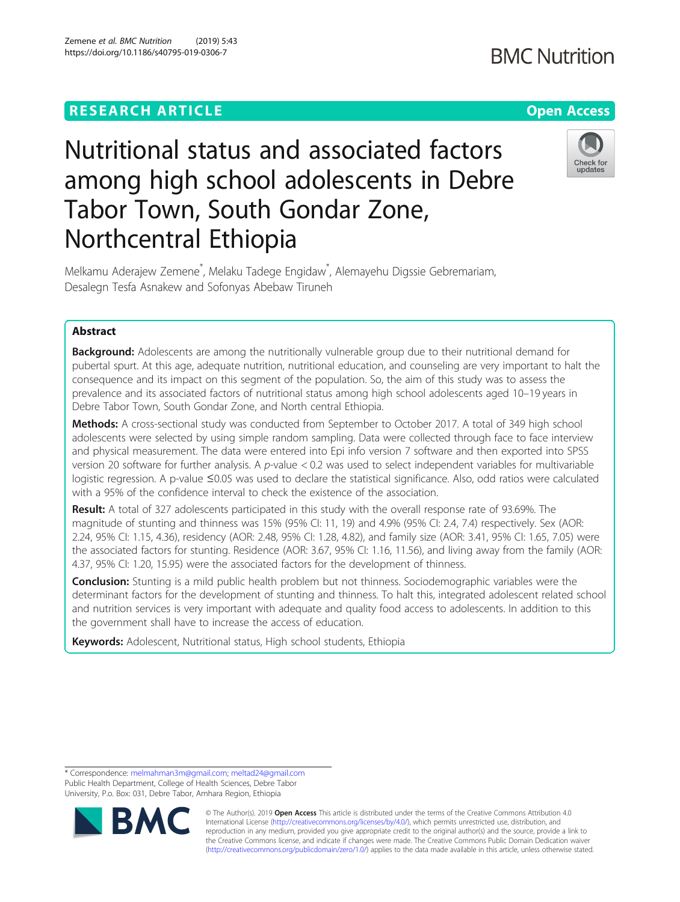Zemene et al. BMC Nutrition (2019) 5:43 https://doi.org/10.1186/s40795-019-0306-7

## Check for updates

# Nutritional status and associated factors among high school adolescents in Debre Tabor Town, South Gondar Zone, Northcentral Ethiopia

Melkamu Aderajew Zemene<sup>\*</sup>, Melaku Tadege Engidaw<sup>\*</sup>, Alemayehu Digssie Gebremariam, Desalegn Tesfa Asnakew and Sofonyas Abebaw Tiruneh

## Abstract

**Background:** Adolescents are among the nutritionally vulnerable group due to their nutritional demand for pubertal spurt. At this age, adequate nutrition, nutritional education, and counseling are very important to halt the consequence and its impact on this segment of the population. So, the aim of this study was to assess the prevalence and its associated factors of nutritional status among high school adolescents aged 10–19 years in Debre Tabor Town, South Gondar Zone, and North central Ethiopia.

Methods: A cross-sectional study was conducted from September to October 2017. A total of 349 high school adolescents were selected by using simple random sampling. Data were collected through face to face interview and physical measurement. The data were entered into Epi info version 7 software and then exported into SPSS version 20 software for further analysis. A p-value < 0.2 was used to select independent variables for multivariable logistic regression. A p-value ≤0.05 was used to declare the statistical significance. Also, odd ratios were calculated with a 95% of the confidence interval to check the existence of the association.

Result: A total of 327 adolescents participated in this study with the overall response rate of 93.69%. The magnitude of stunting and thinness was 15% (95% CI: 11, 19) and 4.9% (95% CI: 2.4, 7.4) respectively. Sex (AOR: 2.24, 95% CI: 1.15, 4.36), residency (AOR: 2.48, 95% CI: 1.28, 4.82), and family size (AOR: 3.41, 95% CI: 1.65, 7.05) were the associated factors for stunting. Residence (AOR: 3.67, 95% CI: 1.16, 11.56), and living away from the family (AOR: 4.37, 95% CI: 1.20, 15.95) were the associated factors for the development of thinness.

**Conclusion:** Stunting is a mild public health problem but not thinness. Sociodemographic variables were the determinant factors for the development of stunting and thinness. To halt this, integrated adolescent related school and nutrition services is very important with adequate and quality food access to adolescents. In addition to this the government shall have to increase the access of education.

Keywords: Adolescent, Nutritional status, High school students, Ethiopia

<sup>\*</sup> Correspondence: [melmahman3m@gmail.com](mailto:melmahman3m@gmail.com); [meltad24@gmail.com](mailto:meltad24@gmail.com) Public Health Department, College of Health Sciences, Debre Tabor University, P.o. Box: 031, Debre Tabor, Amhara Region, Ethiopia



© The Author(s). 2019 **Open Access** This article is distributed under the terms of the Creative Commons Attribution 4.0 International License [\(http://creativecommons.org/licenses/by/4.0/](http://creativecommons.org/licenses/by/4.0/)), which permits unrestricted use, distribution, and reproduction in any medium, provided you give appropriate credit to the original author(s) and the source, provide a link to the Creative Commons license, and indicate if changes were made. The Creative Commons Public Domain Dedication waiver [\(http://creativecommons.org/publicdomain/zero/1.0/](http://creativecommons.org/publicdomain/zero/1.0/)) applies to the data made available in this article, unless otherwise stated.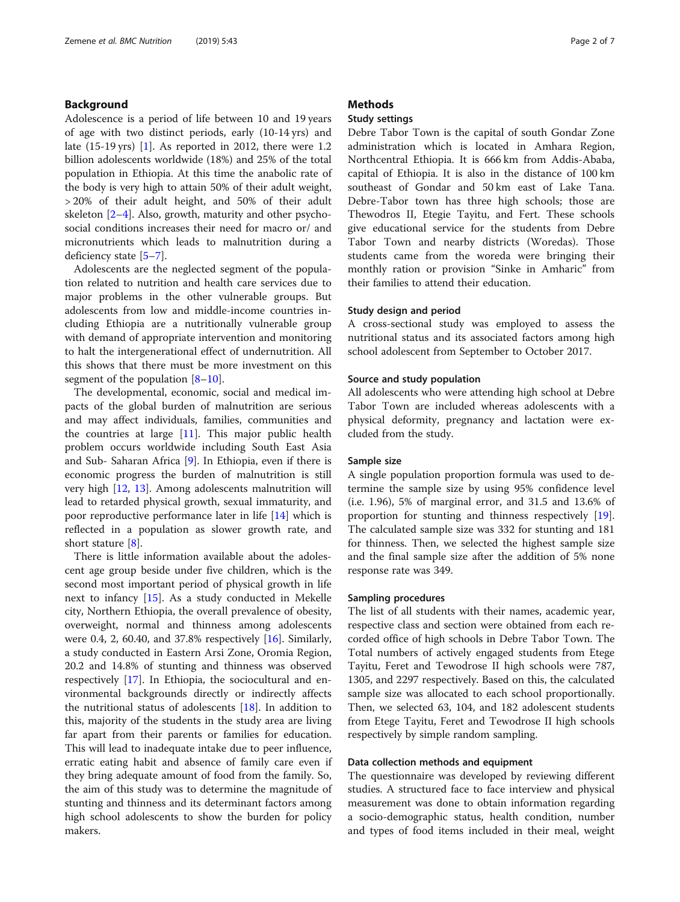## Background

Adolescence is a period of life between 10 and 19 years of age with two distinct periods, early (10-14 yrs) and late  $(15-19 \text{ yrs})$  $(15-19 \text{ yrs})$  $(15-19 \text{ yrs})$  [1]. As reported in 2012, there were 1.2 billion adolescents worldwide (18%) and 25% of the total population in Ethiopia. At this time the anabolic rate of the body is very high to attain 50% of their adult weight, > 20% of their adult height, and 50% of their adult skeleton [[2](#page-5-0)–[4](#page-6-0)]. Also, growth, maturity and other psychosocial conditions increases their need for macro or/ and micronutrients which leads to malnutrition during a deficiency state [\[5](#page-6-0)–[7\]](#page-6-0).

Adolescents are the neglected segment of the population related to nutrition and health care services due to major problems in the other vulnerable groups. But adolescents from low and middle-income countries including Ethiopia are a nutritionally vulnerable group with demand of appropriate intervention and monitoring to halt the intergenerational effect of undernutrition. All this shows that there must be more investment on this segment of the population [[8](#page-6-0)–[10](#page-6-0)].

The developmental, economic, social and medical impacts of the global burden of malnutrition are serious and may affect individuals, families, communities and the countries at large [\[11](#page-6-0)]. This major public health problem occurs worldwide including South East Asia and Sub- Saharan Africa [[9](#page-6-0)]. In Ethiopia, even if there is economic progress the burden of malnutrition is still very high [\[12,](#page-6-0) [13\]](#page-6-0). Among adolescents malnutrition will lead to retarded physical growth, sexual immaturity, and poor reproductive performance later in life [\[14](#page-6-0)] which is reflected in a population as slower growth rate, and short stature [[8\]](#page-6-0).

There is little information available about the adolescent age group beside under five children, which is the second most important period of physical growth in life next to infancy [[15\]](#page-6-0). As a study conducted in Mekelle city, Northern Ethiopia, the overall prevalence of obesity, overweight, normal and thinness among adolescents were 0.4, 2, 60.40, and 37.8% respectively [\[16\]](#page-6-0). Similarly, a study conducted in Eastern Arsi Zone, Oromia Region, 20.2 and 14.8% of stunting and thinness was observed respectively [[17](#page-6-0)]. In Ethiopia, the sociocultural and environmental backgrounds directly or indirectly affects the nutritional status of adolescents [\[18](#page-6-0)]. In addition to this, majority of the students in the study area are living far apart from their parents or families for education. This will lead to inadequate intake due to peer influence, erratic eating habit and absence of family care even if they bring adequate amount of food from the family. So, the aim of this study was to determine the magnitude of stunting and thinness and its determinant factors among high school adolescents to show the burden for policy makers.

## **Methods**

## Study settings

Debre Tabor Town is the capital of south Gondar Zone administration which is located in Amhara Region, Northcentral Ethiopia. It is 666 km from Addis-Ababa, capital of Ethiopia. It is also in the distance of 100 km southeast of Gondar and 50 km east of Lake Tana. Debre-Tabor town has three high schools; those are Thewodros II, Etegie Tayitu, and Fert. These schools give educational service for the students from Debre Tabor Town and nearby districts (Woredas). Those students came from the woreda were bringing their monthly ration or provision "Sinke in Amharic" from their families to attend their education.

## Study design and period

A cross-sectional study was employed to assess the nutritional status and its associated factors among high school adolescent from September to October 2017.

## Source and study population

All adolescents who were attending high school at Debre Tabor Town are included whereas adolescents with a physical deformity, pregnancy and lactation were excluded from the study.

## Sample size

A single population proportion formula was used to determine the sample size by using 95% confidence level (i.e. 1.96), 5% of marginal error, and 31.5 and 13.6% of proportion for stunting and thinness respectively [\[19](#page-6-0)]. The calculated sample size was 332 for stunting and 181 for thinness. Then, we selected the highest sample size and the final sample size after the addition of 5% none response rate was 349.

## Sampling procedures

The list of all students with their names, academic year, respective class and section were obtained from each recorded office of high schools in Debre Tabor Town. The Total numbers of actively engaged students from Etege Tayitu, Feret and Tewodrose II high schools were 787, 1305, and 2297 respectively. Based on this, the calculated sample size was allocated to each school proportionally. Then, we selected 63, 104, and 182 adolescent students from Etege Tayitu, Feret and Tewodrose II high schools respectively by simple random sampling.

## Data collection methods and equipment

The questionnaire was developed by reviewing different studies. A structured face to face interview and physical measurement was done to obtain information regarding a socio-demographic status, health condition, number and types of food items included in their meal, weight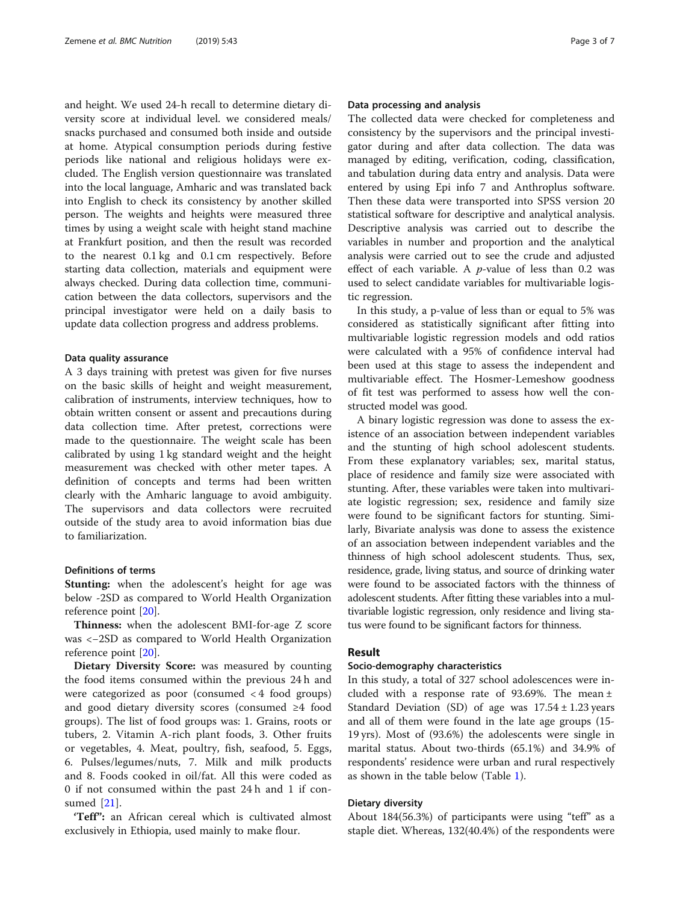and height. We used 24-h recall to determine dietary diversity score at individual level. we considered meals/ snacks purchased and consumed both inside and outside at home. Atypical consumption periods during festive periods like national and religious holidays were excluded. The English version questionnaire was translated into the local language, Amharic and was translated back into English to check its consistency by another skilled person. The weights and heights were measured three times by using a weight scale with height stand machine at Frankfurt position, and then the result was recorded to the nearest 0.1 kg and 0.1 cm respectively. Before starting data collection, materials and equipment were always checked. During data collection time, communication between the data collectors, supervisors and the principal investigator were held on a daily basis to update data collection progress and address problems.

## Data quality assurance

A 3 days training with pretest was given for five nurses on the basic skills of height and weight measurement, calibration of instruments, interview techniques, how to obtain written consent or assent and precautions during data collection time. After pretest, corrections were made to the questionnaire. The weight scale has been calibrated by using 1 kg standard weight and the height measurement was checked with other meter tapes. A definition of concepts and terms had been written clearly with the Amharic language to avoid ambiguity. The supervisors and data collectors were recruited outside of the study area to avoid information bias due to familiarization.

## Definitions of terms

Stunting: when the adolescent's height for age was below -2SD as compared to World Health Organization reference point [[20\]](#page-6-0).

Thinness: when the adolescent BMI-for-age Z score was <−2SD as compared to World Health Organization reference point [[20\]](#page-6-0).

Dietary Diversity Score: was measured by counting the food items consumed within the previous 24 h and were categorized as poor (consumed < 4 food groups) and good dietary diversity scores (consumed ≥4 food groups). The list of food groups was: 1. Grains, roots or tubers, 2. Vitamin A-rich plant foods, 3. Other fruits or vegetables, 4. Meat, poultry, fish, seafood, 5. Eggs, 6. Pulses/legumes/nuts, 7. Milk and milk products and 8. Foods cooked in oil/fat. All this were coded as 0 if not consumed within the past 24 h and 1 if consumed [\[21](#page-6-0)].

'Teff": an African cereal which is cultivated almost exclusively in Ethiopia, used mainly to make flour.

## Data processing and analysis

The collected data were checked for completeness and consistency by the supervisors and the principal investigator during and after data collection. The data was managed by editing, verification, coding, classification, and tabulation during data entry and analysis. Data were entered by using Epi info 7 and Anthroplus software. Then these data were transported into SPSS version 20 statistical software for descriptive and analytical analysis. Descriptive analysis was carried out to describe the variables in number and proportion and the analytical analysis were carried out to see the crude and adjusted effect of each variable. A  $p$ -value of less than 0.2 was used to select candidate variables for multivariable logistic regression.

In this study, a p-value of less than or equal to 5% was considered as statistically significant after fitting into multivariable logistic regression models and odd ratios were calculated with a 95% of confidence interval had been used at this stage to assess the independent and multivariable effect. The Hosmer-Lemeshow goodness of fit test was performed to assess how well the constructed model was good.

A binary logistic regression was done to assess the existence of an association between independent variables and the stunting of high school adolescent students. From these explanatory variables; sex, marital status, place of residence and family size were associated with stunting. After, these variables were taken into multivariate logistic regression; sex, residence and family size were found to be significant factors for stunting. Similarly, Bivariate analysis was done to assess the existence of an association between independent variables and the thinness of high school adolescent students. Thus, sex, residence, grade, living status, and source of drinking water were found to be associated factors with the thinness of adolescent students. After fitting these variables into a multivariable logistic regression, only residence and living status were found to be significant factors for thinness.

## Result

## Socio-demography characteristics

In this study, a total of 327 school adolescences were included with a response rate of 93.69%. The mean  $\pm$ Standard Deviation (SD) of age was  $17.54 \pm 1.23$  years and all of them were found in the late age groups (15- 19 yrs). Most of (93.6%) the adolescents were single in marital status. About two-thirds (65.1%) and 34.9% of respondents' residence were urban and rural respectively as shown in the table below (Table [1\)](#page-3-0).

## Dietary diversity

About 184(56.3%) of participants were using "teff" as a staple diet. Whereas, 132(40.4%) of the respondents were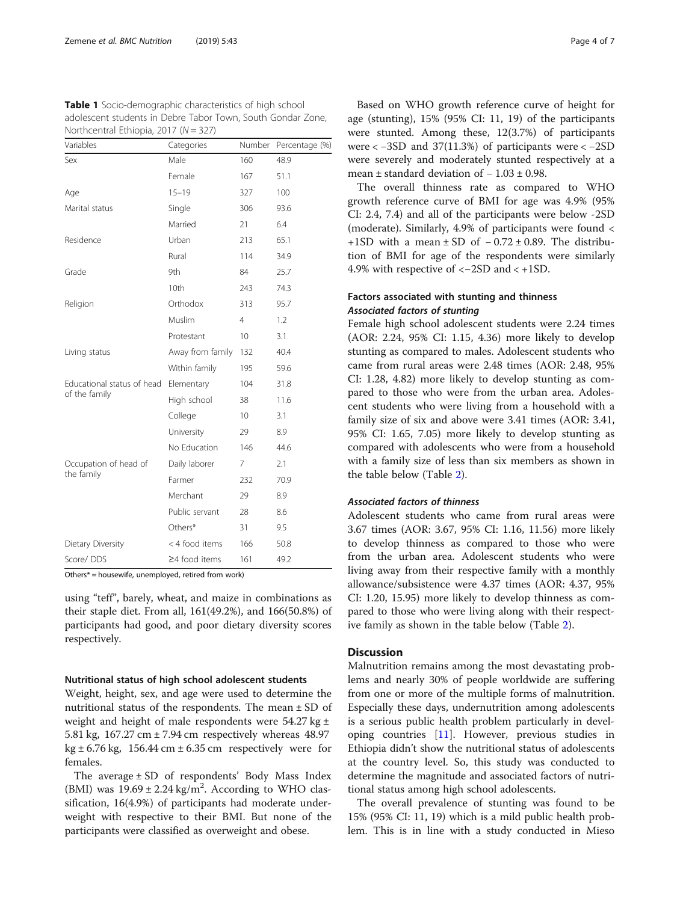| Northcentral Ethiopia, 2017 ( $N = 327$ ) |                     |                 |                |  |  |  |
|-------------------------------------------|---------------------|-----------------|----------------|--|--|--|
| Variables                                 | Categories          | Number          | Percentage (%) |  |  |  |
| Sex                                       | Male                | 160             | 48.9           |  |  |  |
|                                           | Female              | 167             | 51.1           |  |  |  |
| Age                                       | $15 - 19$           | 327             | 100            |  |  |  |
| Marital status                            | Single              | 306             | 93.6           |  |  |  |
|                                           | Married             | 21              | 6.4            |  |  |  |
| Residence                                 | Urban               | 213             | 65.1           |  |  |  |
|                                           | Rural               | 114             | 34.9           |  |  |  |
| Grade                                     | 9th                 | 84              | 25.7           |  |  |  |
|                                           | 10th                | 243             | 74.3           |  |  |  |
| Religion                                  | Orthodox            | 313             | 95.7           |  |  |  |
|                                           | Muslim              | $\overline{4}$  | 1.2            |  |  |  |
|                                           | Protestant          | 10 <sup>°</sup> | 3.1            |  |  |  |
| Living status                             | Away from family    | 132             | 40.4           |  |  |  |
|                                           | Within family       | 195             | 59.6           |  |  |  |
| Educational status of head                | Elementary          | 104             | 31.8           |  |  |  |
| of the family                             | High school         | 38              | 11.6           |  |  |  |
|                                           | College             | 10 <sup>°</sup> | 3.1            |  |  |  |
|                                           | University          | 29              | 8.9            |  |  |  |
|                                           | No Education        | 146             | 44.6           |  |  |  |
| Occupation of head of<br>the family       | Daily laborer       | 7               | 2.1            |  |  |  |
|                                           | Farmer              | 232             | 70.9           |  |  |  |
|                                           | Merchant            | 29              | 8.9            |  |  |  |
|                                           | Public servant      | 28              | 8.6            |  |  |  |
|                                           | Others*             | 31              | 9.5            |  |  |  |
| Dietary Diversity                         | < 4 food items      | 166             | 50.8           |  |  |  |
| Score/DDS                                 | $\geq$ 4 food items | 161             | 49.2           |  |  |  |

<span id="page-3-0"></span>Table 1 Socio-demographic characteristics of high school adolescent students in Debre Tabor Town, South Gondar Zone, Northcentral Ethiopia, 2017 (N = 327)

Others\* = housewife, unemployed, retired from work)

using "teff", barely, wheat, and maize in combinations as their staple diet. From all, 161(49.2%), and 166(50.8%) of participants had good, and poor dietary diversity scores respectively.

## Nutritional status of high school adolescent students

Weight, height, sex, and age were used to determine the nutritional status of the respondents. The mean ± SD of weight and height of male respondents were  $54.27$  kg  $\pm$ 5.81 kg, 167.27 cm ± 7.94 cm respectively whereas 48.97  $kg \pm 6.76$  kg, 156.44 cm  $\pm 6.35$  cm respectively were for females.

The average ± SD of respondents' Body Mass Index (BMI) was  $19.69 \pm 2.24$  kg/m<sup>2</sup>. According to WHO classification, 16(4.9%) of participants had moderate underweight with respective to their BMI. But none of the participants were classified as overweight and obese.

Based on WHO growth reference curve of height for age (stunting), 15% (95% CI: 11, 19) of the participants were stunted. Among these, 12(3.7%) of participants were < −3SD and 37(11.3%) of participants were < −2SD were severely and moderately stunted respectively at a mean ± standard deviation of − 1.03 ± 0.98.

The overall thinness rate as compared to WHO growth reference curve of BMI for age was 4.9% (95% CI: 2.4, 7.4) and all of the participants were below -2SD (moderate). Similarly, 4.9% of participants were found < +1SD with a mean  $\pm$  SD of  $-0.72 \pm 0.89$ . The distribution of BMI for age of the respondents were similarly 4.9% with respective of <−2SD and < +1SD.

## Factors associated with stunting and thinness Associated factors of stunting

Female high school adolescent students were 2.24 times (AOR: 2.24, 95% CI: 1.15, 4.36) more likely to develop stunting as compared to males. Adolescent students who came from rural areas were 2.48 times (AOR: 2.48, 95% CI: 1.28, 4.82) more likely to develop stunting as compared to those who were from the urban area. Adolescent students who were living from a household with a family size of six and above were 3.41 times (AOR: 3.41, 95% CI: 1.65, 7.05) more likely to develop stunting as compared with adolescents who were from a household with a family size of less than six members as shown in the table below (Table [2](#page-4-0)).

## Associated factors of thinness

Adolescent students who came from rural areas were 3.67 times (AOR: 3.67, 95% CI: 1.16, 11.56) more likely to develop thinness as compared to those who were from the urban area. Adolescent students who were living away from their respective family with a monthly allowance/subsistence were 4.37 times (AOR: 4.37, 95% CI: 1.20, 15.95) more likely to develop thinness as compared to those who were living along with their respective family as shown in the table below (Table [2\)](#page-4-0).

## **Discussion**

Malnutrition remains among the most devastating problems and nearly 30% of people worldwide are suffering from one or more of the multiple forms of malnutrition. Especially these days, undernutrition among adolescents is a serious public health problem particularly in developing countries [[11\]](#page-6-0). However, previous studies in Ethiopia didn't show the nutritional status of adolescents at the country level. So, this study was conducted to determine the magnitude and associated factors of nutritional status among high school adolescents.

The overall prevalence of stunting was found to be 15% (95% CI: 11, 19) which is a mild public health problem. This is in line with a study conducted in Mieso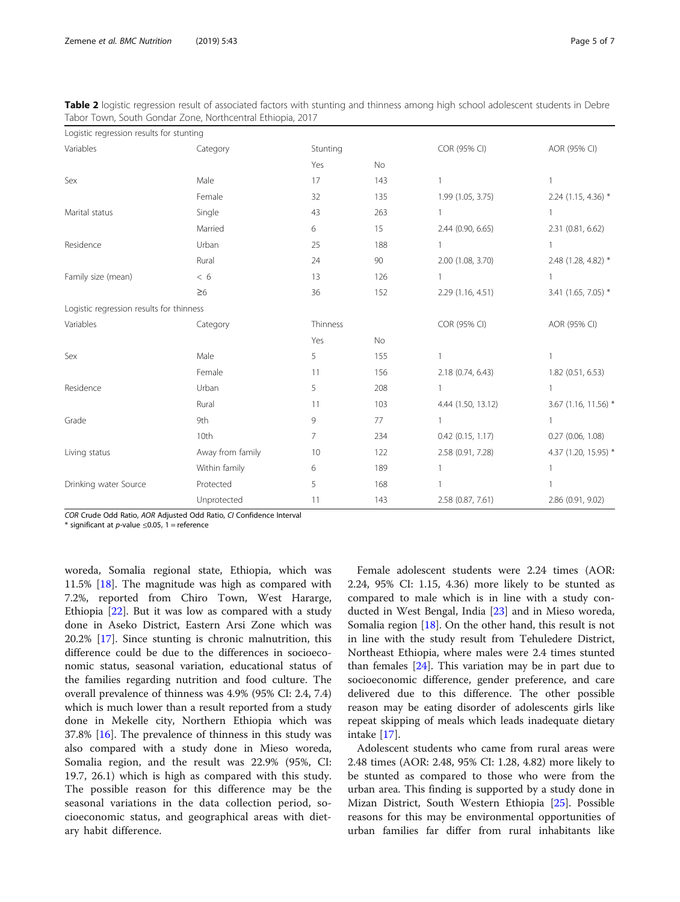<span id="page-4-0"></span>

| Table 2 logistic regression result of associated factors with stunting and thinness among high school adolescent students in Debre |  |  |  |
|------------------------------------------------------------------------------------------------------------------------------------|--|--|--|
| Tabor Town, South Gondar Zone, Northcentral Ethiopia, 2017                                                                         |  |  |  |

| Logistic regression results for stunting |                  |          |     |                       |                      |
|------------------------------------------|------------------|----------|-----|-----------------------|----------------------|
| Variables                                | Category         | Stunting |     | COR (95% CI)          | AOR (95% CI)         |
|                                          |                  | Yes      | No  |                       |                      |
| Sex                                      | Male             | 17       | 143 | 1                     | 1                    |
|                                          | Female           | 32       | 135 | 1.99 (1.05, 3.75)     | 2.24 (1.15, 4.36) *  |
| Marital status                           | Single           | 43       | 263 | $\mathbf{1}$          | 1                    |
|                                          | Married          | 6        | 15  | 2.44 (0.90, 6.65)     | 2.31 (0.81, 6.62)    |
| Residence                                | Urban            | 25       | 188 | 1                     | 1                    |
|                                          | Rural            | 24       | 90  | 2.00 (1.08, 3.70)     | 2.48 (1.28, 4.82) *  |
| Family size (mean)                       | < 6              | 13       | 126 |                       | 1                    |
|                                          | $\geq 6$         | 36       | 152 | 2.29 (1.16, 4.51)     | 3.41 (1.65, 7.05) *  |
| Logistic regression results for thinness |                  |          |     |                       |                      |
| Variables                                | Category         | Thinness |     | COR (95% CI)          | AOR (95% CI)         |
|                                          |                  | Yes      | No  |                       |                      |
| Sex                                      | Male             | 5        | 155 | $\mathbf{1}$          | 1                    |
|                                          | Female           | 11       | 156 | 2.18 (0.74, 6.43)     | 1.82 (0.51, 6.53)    |
| Residence                                | Urban            | 5        | 208 | 1                     | 1                    |
|                                          | Rural            | 11       | 103 | 4.44 (1.50, 13.12)    | 3.67 (1.16, 11.56) * |
| Grade                                    | 9th              | 9        | 77  | 1                     | $\mathbf{1}$         |
|                                          | 10th             | 7        | 234 | $0.42$ $(0.15, 1.17)$ | $0.27$ (0.06, 1.08)  |
| Living status                            | Away from family | 10       | 122 | 2.58 (0.91, 7.28)     | 4.37 (1.20, 15.95) * |
|                                          | Within family    | 6        | 189 | 1                     | 1                    |
| Drinking water Source                    | Protected        | 5        | 168 | 1                     |                      |
|                                          | Unprotected      | 11       | 143 | 2.58 (0.87, 7.61)     | 2.86 (0.91, 9.02)    |

COR Crude Odd Ratio, AOR Adjusted Odd Ratio, CI Confidence Interval

\* significant at  $p$ -value  $\leq$ 0.05, 1 = reference

woreda, Somalia regional state, Ethiopia, which was 11.5% [[18](#page-6-0)]. The magnitude was high as compared with 7.2%, reported from Chiro Town, West Hararge, Ethiopia [[22](#page-6-0)]. But it was low as compared with a study done in Aseko District, Eastern Arsi Zone which was 20.2% [[17\]](#page-6-0). Since stunting is chronic malnutrition, this difference could be due to the differences in socioeconomic status, seasonal variation, educational status of the families regarding nutrition and food culture. The overall prevalence of thinness was 4.9% (95% CI: 2.4, 7.4) which is much lower than a result reported from a study done in Mekelle city, Northern Ethiopia which was 37.8% [\[16\]](#page-6-0). The prevalence of thinness in this study was also compared with a study done in Mieso woreda, Somalia region, and the result was 22.9% (95%, CI: 19.7, 26.1) which is high as compared with this study. The possible reason for this difference may be the seasonal variations in the data collection period, socioeconomic status, and geographical areas with dietary habit difference.

Female adolescent students were 2.24 times (AOR: 2.24, 95% CI: 1.15, 4.36) more likely to be stunted as compared to male which is in line with a study conducted in West Bengal, India [\[23](#page-6-0)] and in Mieso woreda, Somalia region [[18\]](#page-6-0). On the other hand, this result is not in line with the study result from Tehuledere District, Northeast Ethiopia, where males were 2.4 times stunted than females  $[24]$  $[24]$ . This variation may be in part due to socioeconomic difference, gender preference, and care delivered due to this difference. The other possible reason may be eating disorder of adolescents girls like repeat skipping of meals which leads inadequate dietary intake [[17](#page-6-0)].

Adolescent students who came from rural areas were 2.48 times (AOR: 2.48, 95% CI: 1.28, 4.82) more likely to be stunted as compared to those who were from the urban area. This finding is supported by a study done in Mizan District, South Western Ethiopia [\[25](#page-6-0)]. Possible reasons for this may be environmental opportunities of urban families far differ from rural inhabitants like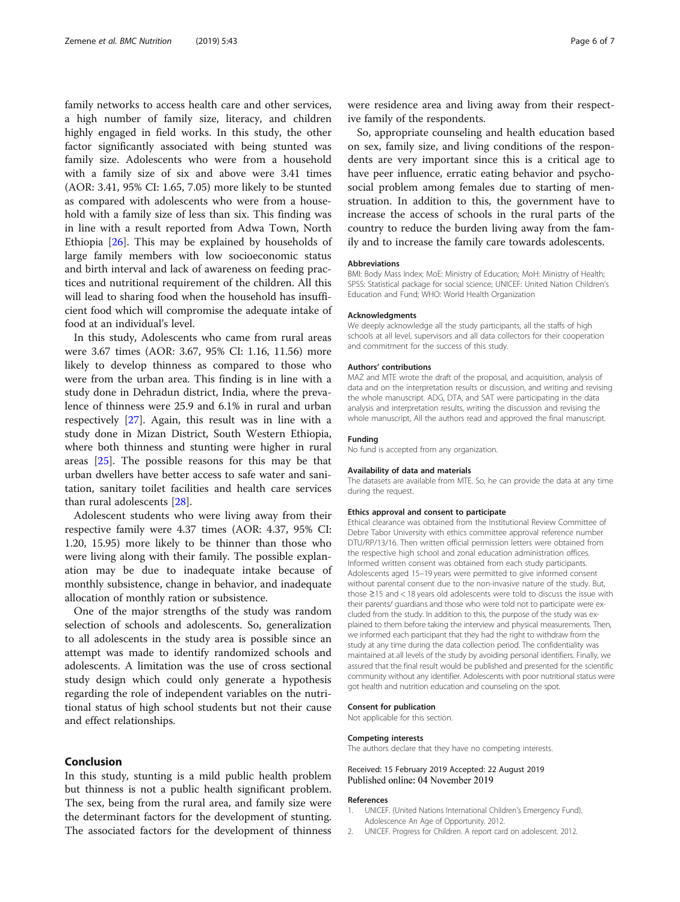<span id="page-5-0"></span>family networks to access health care and other services, a high number of family size, literacy, and children highly engaged in field works. In this study, the other factor significantly associated with being stunted was family size. Adolescents who were from a household with a family size of six and above were 3.41 times (AOR: 3.41, 95% CI: 1.65, 7.05) more likely to be stunted as compared with adolescents who were from a household with a family size of less than six. This finding was in line with a result reported from Adwa Town, North Ethiopia [\[26\]](#page-6-0). This may be explained by households of large family members with low socioeconomic status and birth interval and lack of awareness on feeding practices and nutritional requirement of the children. All this will lead to sharing food when the household has insufficient food which will compromise the adequate intake of food at an individual's level.

In this study, Adolescents who came from rural areas were 3.67 times (AOR: 3.67, 95% CI: 1.16, 11.56) more likely to develop thinness as compared to those who were from the urban area. This finding is in line with a study done in Dehradun district, India, where the prevalence of thinness were 25.9 and 6.1% in rural and urban respectively [\[27](#page-6-0)]. Again, this result was in line with a study done in Mizan District, South Western Ethiopia, where both thinness and stunting were higher in rural areas [[25\]](#page-6-0). The possible reasons for this may be that urban dwellers have better access to safe water and sanitation, sanitary toilet facilities and health care services than rural adolescents [\[28](#page-6-0)].

Adolescent students who were living away from their respective family were 4.37 times (AOR: 4.37, 95% CI: 1.20, 15.95) more likely to be thinner than those who were living along with their family. The possible explanation may be due to inadequate intake because of monthly subsistence, change in behavior, and inadequate allocation of monthly ration or subsistence.

One of the major strengths of the study was random selection of schools and adolescents. So, generalization to all adolescents in the study area is possible since an attempt was made to identify randomized schools and adolescents. A limitation was the use of cross sectional study design which could only generate a hypothesis regarding the role of independent variables on the nutritional status of high school students but not their cause and effect relationships.

## Conclusion

In this study, stunting is a mild public health problem but thinness is not a public health significant problem. The sex, being from the rural area, and family size were the determinant factors for the development of stunting. The associated factors for the development of thinness

were residence area and living away from their respective family of the respondents.

So, appropriate counseling and health education based on sex, family size, and living conditions of the respondents are very important since this is a critical age to have peer influence, erratic eating behavior and psychosocial problem among females due to starting of menstruation. In addition to this, the government have to increase the access of schools in the rural parts of the country to reduce the burden living away from the family and to increase the family care towards adolescents.

#### Abbreviations

BMI: Body Mass Index; MoE: Ministry of Education; MoH: Ministry of Health; SPSS: Statistical package for social science; UNICEF: United Nation Children's Education and Fund; WHO: World Health Organization

#### Acknowledgments

We deeply acknowledge all the study participants, all the staffs of high schools at all level, supervisors and all data collectors for their cooperation and commitment for the success of this study.

#### Authors' contributions

MAZ and MTE wrote the draft of the proposal, and acquisition, analysis of data and on the interpretation results or discussion, and writing and revising the whole manuscript. ADG, DTA, and SAT were participating in the data analysis and interpretation results, writing the discussion and revising the whole manuscript, All the authors read and approved the final manuscript.

## Funding

No fund is accepted from any organization.

#### Availability of data and materials

The datasets are available from MTE. So, he can provide the data at any time during the request.

#### Ethics approval and consent to participate

Ethical clearance was obtained from the Institutional Review Committee of Debre Tabor University with ethics committee approval reference number DTU/RP/13/16. Then written official permission letters were obtained from the respective high school and zonal education administration offices. Informed written consent was obtained from each study participants. Adolescents aged 15–19 years were permitted to give informed consent without parental consent due to the non-invasive nature of the study. But, those ≥15 and < 18 years old adolescents were told to discuss the issue with their parents/ guardians and those who were told not to participate were excluded from the study. In addition to this, the purpose of the study was explained to them before taking the interview and physical measurements. Then, we informed each participant that they had the right to withdraw from the study at any time during the data collection period. The confidentiality was maintained at all levels of the study by avoiding personal identifiers. Finally, we assured that the final result would be published and presented for the scientific community without any identifier. Adolescents with poor nutritional status were got health and nutrition education and counseling on the spot.

#### Consent for publication

Not applicable for this section.

#### Competing interests

The authors declare that they have no competing interests.

## Received: 15 February 2019 Accepted: 22 August 2019 Published online: 04 November 2019

#### References

- 1. UNICEF. (United Nations International Children's Emergency Fund). Adolescence An Age of Opportunity. 2012.
- 2. UNICEF. Progress for Children. A report card on adolescent. 2012.